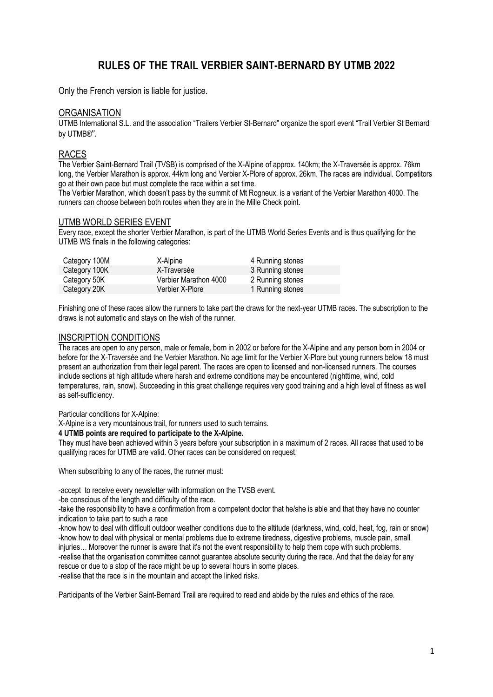# **RULES OF THE TRAIL VERBIER SAINT-BERNARD BY UTMB 2022**

Only the French version is liable for justice.

### **ORGANISATION**

UTMB International S.L. and the association "Trailers Verbier St-Bernard" organize the sport event "Trail Verbier St Bernard by UTMB®".

# RACES

The Verbier Saint-Bernard Trail (TVSB) is comprised of the X-Alpine of approx. 140km; the X-Traversée is approx. 76km long, the Verbier Marathon is approx. 44km long and Verbier X-Plore of approx. 26km. The races are individual. Competitors go at their own pace but must complete the race within a set time.

The Verbier Marathon, which doesn't pass by the summit of Mt Rogneux, is a variant of the Verbier Marathon 4000. The runners can choose between both routes when they are in the Mille Check point.

#### UTMB WORLD SERIES EVENT

Every race, except the shorter Verbier Marathon, is part of the UTMB World Series Events and is thus qualifying for the UTMB WS finals in the following categories:

| Category 100M | X-Alpine              | 4 Running stones |
|---------------|-----------------------|------------------|
| Category 100K | X-Traversée           | 3 Running stones |
| Category 50K  | Verbier Marathon 4000 | 2 Running stones |
| Category 20K  | Verbier X-Plore       | 1 Running stones |

Finishing one of these races allow the runners to take part the draws for the next-year UTMB races. The subscription to the draws is not automatic and stays on the wish of the runner.

#### INSCRIPTION CONDITIONS

The races are open to any person, male or female, born in 2002 or before for the X-Alpine and any person born in 2004 or before for the X-Traversée and the Verbier Marathon. No age limit for the Verbier X-Plore but young runners below 18 must present an authorization from their legal parent. The races are open to licensed and non-licensed runners. The courses include sections at high altitude where harsh and extreme conditions may be encountered (nighttime, wind, cold temperatures, rain, snow). Succeeding in this great challenge requires very good training and a high level of fitness as well as self-sufficiency.

#### Particular conditions for X-Alpine:

X-Alpine is a very mountainous trail, for runners used to such terrains.

#### **4 UTMB points are required to participate to the X-Alpine.**

They must have been achieved within 3 years before your subscription in a maximum of 2 races. All races that used to be qualifying races for UTMB are valid. Other races can be considered on request.

When subscribing to any of the races, the runner must:

-accept to receive every newsletter with information on the TVSB event.

-be conscious of the length and difficulty of the race.

-take the responsibility to have a confirmation from a competent doctor that he/she is able and that they have no counter indication to take part to such a race

-know how to deal with difficult outdoor weather conditions due to the altitude (darkness, wind, cold, heat, fog, rain or snow) -know how to deal with physical or mental problems due to extreme tiredness, digestive problems, muscle pain, small injuries… Moreover the runner is aware that it's not the event responsibility to help them cope with such problems. -realise that the organisation committee cannot guarantee absolute security during the race. And that the delay for any rescue or due to a stop of the race might be up to several hours in some places. -realise that the race is in the mountain and accept the linked risks.

Participants of the Verbier Saint-Bernard Trail are required to read and abide by the rules and ethics of the race.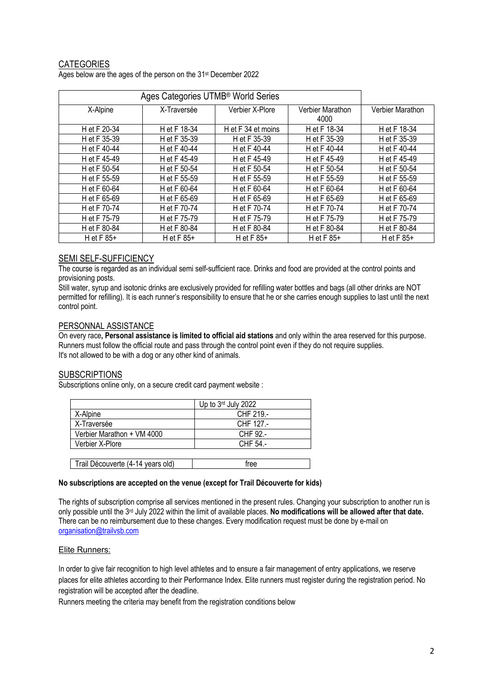# **CATEGORIES**

Ages below are the ages of the person on the 31st December 2022

|              | Ages Categories UTMB <sup>®</sup> World Series |                    |                          |                  |
|--------------|------------------------------------------------|--------------------|--------------------------|------------------|
| X-Alpine     | X-Traversée                                    | Verbier X-Plore    | Verbier Marathon<br>4000 | Verbier Marathon |
| H et F 20-34 | H et F 18-34                                   | H et F 34 et moins | H et F 18-34             | H et F 18-34     |
| H et F 35-39 | H et F 35-39                                   | H et F 35-39       | H et F 35-39             | H et F 35-39     |
| H et F 40-44 | H et F 40-44                                   | H et F 40-44       | H et F 40-44             | H et F 40-44     |
| H et F 45-49 | H et F 45-49                                   | H et F 45-49       | H et F 45-49             | H et F 45-49     |
| H et F 50-54 | H et F 50-54                                   | H et F 50-54       | H et F 50-54             | H et F 50-54     |
| H et F 55-59 | H et F 55-59                                   | H et F 55-59       | H et F 55-59             | H et F 55-59     |
| H et F 60-64 | H et F 60-64                                   | H et F 60-64       | H et F 60-64             | H et F 60-64     |
| H et F 65-69 | H et F 65-69                                   | H et F 65-69       | H et F 65-69             | H et F 65-69     |
| H et F 70-74 | H et F 70-74                                   | H et F 70-74       | H et F 70-74             | H et F 70-74     |
| H et F 75-79 | H et F 75-79                                   | H et F 75-79       | H et F 75-79             | H et F 75-79     |
| H et F 80-84 | H et F 80-84                                   | H et F 80-84       | H et F 80-84             | H et F 80-84     |
| H et $F 85+$ | H et $F 85+$                                   | H et $F 85+$       | H et $F 85+$             | H et $F 85+$     |

# SEMI SELF-SUFFICIENCY

The course is regarded as an individual semi self-sufficient race. Drinks and food are provided at the control points and provisioning posts.

Still water, syrup and isotonic drinks are exclusively provided for refilling water bottles and bags (all other drinks are NOT permitted for refilling). It is each runner's responsibility to ensure that he or she carries enough supplies to last until the next control point.

#### PERSONNAL ASSISTANCE

On every race**, Personal assistance is limited to official aid stations** and only within the area reserved for this purpose. Runners must follow the official route and pass through the control point even if they do not require supplies. It's not allowed to be with a dog or any other kind of animals.

#### **SUBSCRIPTIONS**

Subscriptions online only, on a secure credit card payment website :

|                                   | Up to $3rd$ July 2022 |
|-----------------------------------|-----------------------|
| X-Alpine                          | CHF 219.-             |
| X-Traversée                       | CHF 127.-             |
| Verbier Marathon + VM 4000        | CHF 92.-              |
| Verbier X-Plore                   | CHF 54.-              |
|                                   |                       |
| Trail Découverte (4-14 years old) | free                  |

#### **No subscriptions are accepted on the venue (except for Trail Découverte for kids)**

The rights of subscription comprise all services mentioned in the present rules. Changing your subscription to another run is only possible until the 3rd July 2022 within the limit of available places. **No modifications will be allowed after that date.** There can be no reimbursement due to these changes. Every modification request must be done by e-mail on organisation@trailvsb.com

#### Elite Runners:

In order to give fair recognition to high level athletes and to ensure a fair management of entry applications, we reserve places for elite athletes according to their Performance Index. Elite runners must register during the registration period. No registration will be accepted after the deadline.

Runners meeting the criteria may benefit from the registration conditions below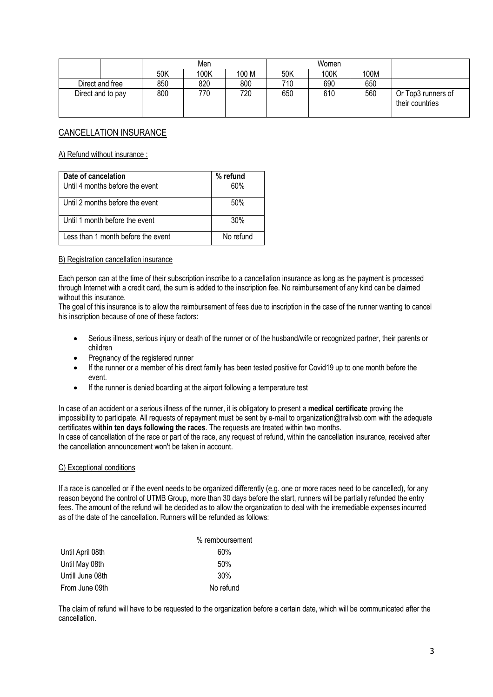|                   |     | Men  |       |     | Women |      |                                       |
|-------------------|-----|------|-------|-----|-------|------|---------------------------------------|
|                   | 50K | 100K | 100 M | 50K | 100K  | 100M |                                       |
| Direct and free   | 850 | 820  | 800   | 710 | 690   | 650  |                                       |
| Direct and to pay | 800 | 770  | 720   | 650 | 610   | 560  | Or Top3 runners of<br>their countries |

# CANCELLATION INSURANCE

A) Refund without insurance :

| Date of cancelation                | % refund  |
|------------------------------------|-----------|
| Until 4 months before the event    | 60%       |
| Until 2 months before the event    | 50%       |
| Until 1 month before the event     | 30%       |
| Less than 1 month before the event | No refund |

#### B) Registration cancellation insurance

Each person can at the time of their subscription inscribe to a cancellation insurance as long as the payment is processed through Internet with a credit card, the sum is added to the inscription fee. No reimbursement of any kind can be claimed without this insurance.

The goal of this insurance is to allow the reimbursement of fees due to inscription in the case of the runner wanting to cancel his inscription because of one of these factors:

- Serious illness, serious injury or death of the runner or of the husband/wife or recognized partner, their parents or children
- Pregnancy of the registered runner
- If the runner or a member of his direct family has been tested positive for Covid19 up to one month before the event.
- If the runner is denied boarding at the airport following a temperature test

In case of an accident or a serious illness of the runner, it is obligatory to present a **medical certificate** proving the impossibility to participate. All requests of repayment must be sent by e-mail to organization@trailvsb.com with the adequate certificates **within ten days following the races**. The requests are treated within two months. In case of cancellation of the race or part of the race, any request of refund, within the cancellation insurance, received after

the cancellation announcement won't be taken in account.

#### C) Exceptional conditions

If a race is cancelled or if the event needs to be organized differently (e.g. one or more races need to be cancelled), for any reason beyond the control of UTMB Group, more than 30 days before the start, runners will be partially refunded the entry fees. The amount of the refund will be decided as to allow the organization to deal with the irremediable expenses incurred as of the date of the cancellation. Runners will be refunded as follows:

|                  | % remboursement |
|------------------|-----------------|
| Until April 08th | 60%             |
| Until May 08th   | 50%             |
| Untill June 08th | 30%             |
| From June 09th   | No refund       |

The claim of refund will have to be requested to the organization before a certain date, which will be communicated after the cancellation.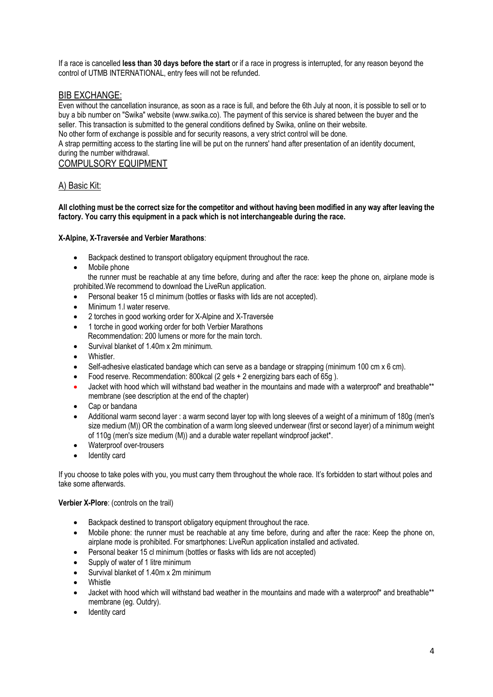If a race is cancelled **less than 30 days before the start** or if a race in progress is interrupted, for any reason beyond the control of UTMB INTERNATIONAL, entry fees will not be refunded.

# BIB EXCHANGE:

Even without the cancellation insurance, as soon as a race is full, and before the 6th July at noon, it is possible to sell or to buy a bib number on "Swika" website (www.swika.co). The payment of this service is shared between the buyer and the seller. This transaction is submitted to the general conditions defined by Swika, online on their website.

No other form of exchange is possible and for security reasons, a very strict control will be done.

A strap permitting access to the starting line will be put on the runners' hand after presentation of an identity document, during the number withdrawal.

# COMPULSORY EQUIPMENT

# A) Basic Kit:

#### **All clothing must be the correct size for the competitor and without having been modified in any way after leaving the factory. You carry this equipment in a pack which is not interchangeable during the race.**

#### **X-Alpine, X-Traversée and Verbier Marathons**:

- Backpack destined to transport obligatory equipment throughout the race.
- Mobile phone

the runner must be reachable at any time before, during and after the race: keep the phone on, airplane mode is prohibited.We recommend to download the LiveRun application.

- Personal beaker 15 cl minimum (bottles or flasks with lids are not accepted).
- Minimum 1.l water reserve.
- 2 torches in good working order for X-Alpine and X-Traversée
- 1 torche in good working order for both Verbier Marathons
- Recommendation: 200 lumens or more for the main torch.
- Survival blanket of 1.40m x 2m minimum.
- Whistler.
- Self-adhesive elasticated bandage which can serve as a bandage or strapping (minimum 100 cm x 6 cm).
- Food reserve. Recommendation: 800kcal (2 gels + 2 energizing bars each of 65g ).
- Jacket with hood which will withstand bad weather in the mountains and made with a waterproof\* and breathable\*\* membrane (see description at the end of the chapter)
- Cap or bandana
- Additional warm second layer : a warm second layer top with long sleeves of a weight of a minimum of 180g (men's size medium (M)) OR the combination of a warm long sleeved underwear (first or second layer) of a minimum weight of 110g (men's size medium (M)) and a durable water repellant windproof jacket\*.
- Waterproof over-trousers
- Identity card

If you choose to take poles with you, you must carry them throughout the whole race. It's forbidden to start without poles and take some afterwards.

#### **Verbier X-Plore**: (controls on the trail)

- Backpack destined to transport obligatory equipment throughout the race.
- Mobile phone: the runner must be reachable at any time before, during and after the race: Keep the phone on, airplane mode is prohibited. For smartphones: LiveRun application installed and activated.
- Personal beaker 15 cl minimum (bottles or flasks with lids are not accepted)
- Supply of water of 1 litre minimum
- Survival blanket of 1.40m x 2m minimum
- **Whistle**
- Jacket with hood which will withstand bad weather in the mountains and made with a waterproof\* and breathable\*\* membrane (eg. Outdry).
- Identity card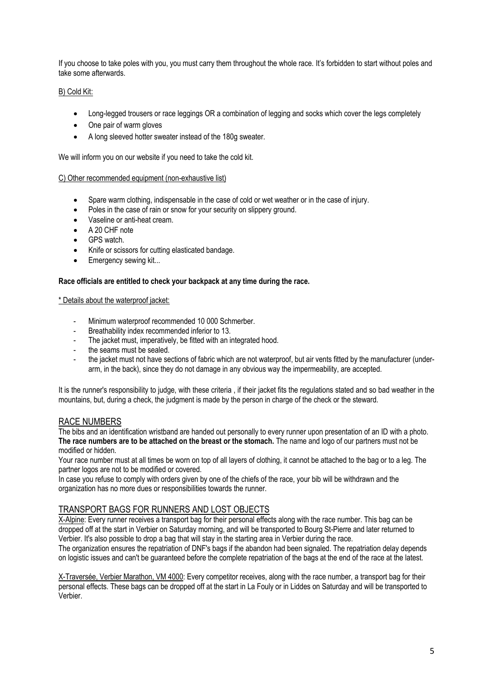If you choose to take poles with you, you must carry them throughout the whole race. It's forbidden to start without poles and take some afterwards.

# B) Cold Kit:

- Long-legged trousers or race leggings OR a combination of legging and socks which cover the legs completely
- One pair of warm gloves
- A long sleeved hotter sweater instead of the 180g sweater.

We will inform you on our website if you need to take the cold kit.

#### C) Other recommended equipment (non-exhaustive list)

- Spare warm clothing, indispensable in the case of cold or wet weather or in the case of injury.
- Poles in the case of rain or snow for your security on slippery ground.
- Vaseline or anti-heat cream.
- A 20 CHF note
- GPS watch.
- Knife or scissors for cutting elasticated bandage.
- Emergency sewing kit...

#### **Race officials are entitled to check your backpack at any time during the race.**

#### \* Details about the waterproof jacket:

- Minimum waterproof recommended 10 000 Schmerber.
- Breathability index recommended inferior to 13.
- The jacket must, imperatively, be fitted with an integrated hood.
- the seams must be sealed.
- the jacket must not have sections of fabric which are not waterproof, but air vents fitted by the manufacturer (underarm, in the back), since they do not damage in any obvious way the impermeability, are accepted.

It is the runner's responsibility to judge, with these criteria , if their jacket fits the regulations stated and so bad weather in the mountains, but, during a check, the judgment is made by the person in charge of the check or the steward.

### RACE NUMBERS

The bibs and an identification wristband are handed out personally to every runner upon presentation of an ID with a photo. **The race numbers are to be attached on the breast or the stomach.** The name and logo of our partners must not be modified or hidden.

Your race number must at all times be worn on top of all layers of clothing, it cannot be attached to the bag or to a leg. The partner logos are not to be modified or covered.

In case you refuse to comply with orders given by one of the chiefs of the race, your bib will be withdrawn and the organization has no more dues or responsibilities towards the runner.

# TRANSPORT BAGS FOR RUNNERS AND LOST OBJECTS

X-Alpine: Every runner receives a transport bag for their personal effects along with the race number. This bag can be dropped off at the start in Verbier on Saturday morning, and will be transported to Bourg St-Pierre and later returned to Verbier. It's also possible to drop a bag that will stay in the starting area in Verbier during the race.

The organization ensures the repatriation of DNF's bags if the abandon had been signaled. The repatriation delay depends on logistic issues and can't be guaranteed before the complete repatriation of the bags at the end of the race at the latest.

X-Traversée, Verbier Marathon, VM 4000: Every competitor receives, along with the race number, a transport bag for their personal effects. These bags can be dropped off at the start in La Fouly or in Liddes on Saturday and will be transported to Verbier.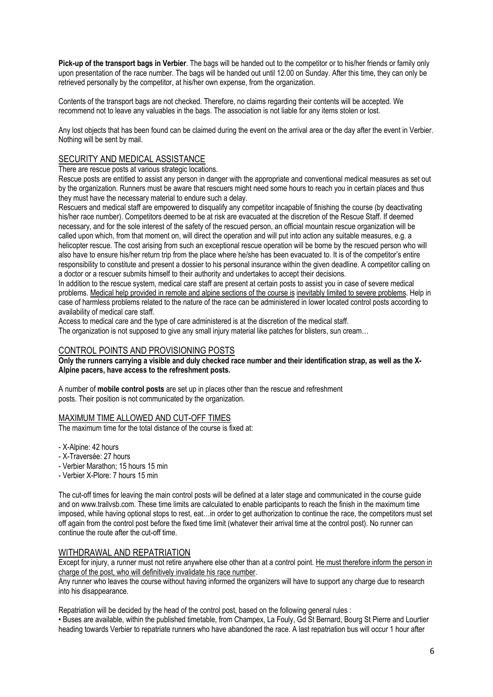**Pick-up of the transport bags in Verbier**. The bags will be handed out to the competitor or to his/her friends or family only upon presentation of the race number. The bags will be handed out until 12.00 on Sunday. After this time, they can only be retrieved personally by the competitor, at his/her own expense, from the organization.

Contents of the transport bags are not checked. Therefore, no claims regarding their contents will be accepted. We recommend not to leave any valuables in the bags. The association is not liable for any items stolen or lost.

Any lost objects that has been found can be claimed during the event on the arrival area or the day after the event in Verbier. Nothing will be sent by mail.

# SECURITY AND MEDICAL ASSISTANCE

There are rescue posts at various strategic locations.

Rescue posts are entitled to assist any person in danger with the appropriate and conventional medical measures as set out by the organization. Runners must be aware that rescuers might need some hours to reach you in certain places and thus they must have the necessary material to endure such a delay.

Rescuers and medical staff are empowered to disqualify any competitor incapable of finishing the course (by deactivating his/her race number). Competitors deemed to be at risk are evacuated at the discretion of the Rescue Staff. If deemed necessary, and for the sole interest of the safety of the rescued person, an official mountain rescue organization will be called upon which, from that moment on, will direct the operation and will put into action any suitable measures, e.g. a helicopter rescue. The cost arising from such an exceptional rescue operation will be borne by the rescued person who will also have to ensure his/her return trip from the place where he/she has been evacuated to. It is of the competitor's entire responsibility to constitute and present a dossier to his personal insurance within the given deadline. A competitor calling on a doctor or a rescuer submits himself to their authority and undertakes to accept their decisions.

In addition to the rescue system, medical care staff are present at certain posts to assist you in case of severe medical problems. Medical help provided in remote and alpine sections of the course is inevitably limited to severe problems. Help in case of harmless problems related to the nature of the race can be administered in lower located control posts according to availability of medical care staff.

Access to medical care and the type of care administered is at the discretion of the medical staff. The organization is not supposed to give any small injury material like patches for blisters, sun cream...

# CONTROL POINTS AND PROVISIONING POSTS

**Only the runners carrying a visible and duly checked race number and their identification strap, as well as the X-Alpine pacers, have access to the refreshment posts.**

A number of **mobile control posts** are set up in places other than the rescue and refreshment posts. Their position is not communicated by the organization.

### MAXIMUM TIME ALLOWED AND CUT-OFF TIMES

The maximum time for the total distance of the course is fixed at:

- X-Alpine: 42 hours
- X-Traversée: 27 hours
- Verbier Marathon; 15 hours 15 min
- Verbier X-Plore: 7 hours 15 min

The cut-off times for leaving the main control posts will be defined at a later stage and communicated in the course guide and on www.trailvsb.com. These time limits are calculated to enable participants to reach the finish in the maximum time imposed, while having optional stops to rest, eat…in order to get authorization to continue the race, the competitors must set off again from the control post before the fixed time limit (whatever their arrival time at the control post). No runner can continue the route after the cut-off time.

### WITHDRAWAL AND REPATRIATION

Except for injury, a runner must not retire anywhere else other than at a control point. He must therefore inform the person in charge of the post, who will definitively invalidate his race number.

Any runner who leaves the course without having informed the organizers will have to support any charge due to research into his disappearance.

Repatriation will be decided by the head of the control post, based on the following general rules :

• Buses are available, within the published timetable, from Champex, La Fouly, Gd St Bernard, Bourg St Pierre and Lourtier heading towards Verbier to repatriate runners who have abandoned the race. A last repatriation bus will occur 1 hour after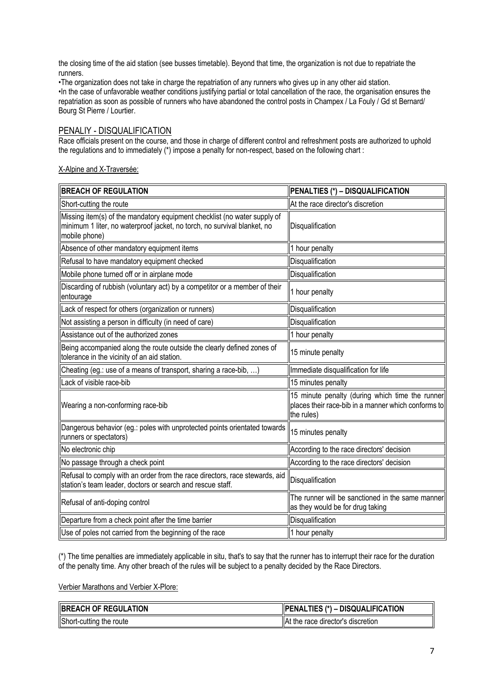the closing time of the aid station (see busses timetable). Beyond that time, the organization is not due to repatriate the runners.

•The organization does not take in charge the repatriation of any runners who gives up in any other aid station. •In the case of unfavorable weather conditions justifying partial or total cancellation of the race, the organisation ensures the repatriation as soon as possible of runners who have abandoned the control posts in Champex / La Fouly / Gd st Bernard/ Bourg St Pierre / Lourtier.

# PENALIY - DISQUALIFICATION

Race officials present on the course, and those in charge of different control and refreshment posts are authorized to uphold the regulations and to immediately (\*) impose a penalty for non-respect, based on the following chart :

#### X-Alpine and X-Traversée:

| <b>BREACH OF REGULATION</b>                                                                                                                                           | PENALTIES (*) - DISQUALIFICATION                                                                                     |
|-----------------------------------------------------------------------------------------------------------------------------------------------------------------------|----------------------------------------------------------------------------------------------------------------------|
| Short-cutting the route                                                                                                                                               | At the race director's discretion                                                                                    |
| Missing item(s) of the mandatory equipment checklist (no water supply of<br>minimum 1 liter, no waterproof jacket, no torch, no survival blanket, no<br>mobile phone) | Disqualification                                                                                                     |
| Absence of other mandatory equipment items                                                                                                                            | 1 hour penalty                                                                                                       |
| Refusal to have mandatory equipment checked                                                                                                                           | Disqualification                                                                                                     |
| Mobile phone turned off or in airplane mode                                                                                                                           | Disqualification                                                                                                     |
| Discarding of rubbish (voluntary act) by a competitor or a member of their<br>entourage                                                                               | 1 hour penalty                                                                                                       |
| Lack of respect for others (organization or runners)                                                                                                                  | Disqualification                                                                                                     |
| Not assisting a person in difficulty (in need of care)                                                                                                                | Disqualification                                                                                                     |
| Assistance out of the authorized zones                                                                                                                                | 1 hour penalty                                                                                                       |
| Being accompanied along the route outside the clearly defined zones of<br>tolerance in the vicinity of an aid station.                                                | 15 minute penalty                                                                                                    |
| Cheating (eg.: use of a means of transport, sharing a race-bib, )                                                                                                     | Immediate disqualification for life                                                                                  |
| Lack of visible race-bib                                                                                                                                              | 15 minutes penalty                                                                                                   |
| Wearing a non-conforming race-bib                                                                                                                                     | 15 minute penalty (during which time the runner<br>places their race-bib in a manner which conforms to<br>the rules) |
| Dangerous behavior (eg.: poles with unprotected points orientated towards<br>runners or spectators)                                                                   | 15 minutes penalty                                                                                                   |
| No electronic chip                                                                                                                                                    | According to the race directors' decision                                                                            |
| No passage through a check point                                                                                                                                      | According to the race directors' decision                                                                            |
| Refusal to comply with an order from the race directors, race stewards, aid<br>station's team leader, doctors or search and rescue staff.                             | Disqualification                                                                                                     |
| Refusal of anti-doping control                                                                                                                                        | The runner will be sanctioned in the same manner<br>as they would be for drug taking                                 |
| Departure from a check point after the time barrier                                                                                                                   | Disqualification                                                                                                     |
| Use of poles not carried from the beginning of the race                                                                                                               | 1 hour penalty                                                                                                       |

(\*) The time penalties are immediately applicable in situ, that's to say that the runner has to interrupt their race for the duration of the penalty time. Any other breach of the rules will be subject to a penalty decided by the Race Directors.

Verbier Marathons and Verbier X-Plore:

| <b>BREACH OF REGULATION</b> | - DISQUALIFICATION<br>TIES (*)<br><b>PENAL</b> |
|-----------------------------|------------------------------------------------|
| Short-cutting the route     | <b>IAt the race director's discretion</b>      |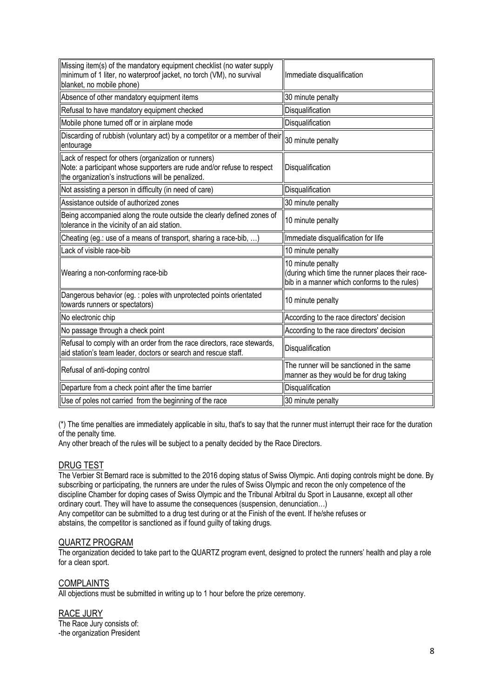| Missing item(s) of the mandatory equipment checklist (no water supply<br>minimum of 1 liter, no waterproof jacket, no torch (VM), no survival<br>blanket, no mobile phone)           | Immediate disqualification                                                                                            |
|--------------------------------------------------------------------------------------------------------------------------------------------------------------------------------------|-----------------------------------------------------------------------------------------------------------------------|
| Absence of other mandatory equipment items                                                                                                                                           | 30 minute penalty                                                                                                     |
| Refusal to have mandatory equipment checked                                                                                                                                          | Disqualification                                                                                                      |
| Mobile phone turned off or in airplane mode                                                                                                                                          | Disqualification                                                                                                      |
| Discarding of rubbish (voluntary act) by a competitor or a member of their<br>entourage                                                                                              | 30 minute penalty                                                                                                     |
| Lack of respect for others (organization or runners)<br>Note: a participant whose supporters are rude and/or refuse to respect<br>the organization's instructions will be penalized. | Disqualification                                                                                                      |
| Not assisting a person in difficulty (in need of care)                                                                                                                               | Disqualification                                                                                                      |
| Assistance outside of authorized zones                                                                                                                                               | 30 minute penalty                                                                                                     |
| Being accompanied along the route outside the clearly defined zones of<br>tolerance in the vicinity of an aid station.                                                               | 10 minute penalty                                                                                                     |
| Cheating (eg.: use of a means of transport, sharing a race-bib, )                                                                                                                    | Immediate disqualification for life                                                                                   |
| Lack of visible race-bib                                                                                                                                                             | 10 minute penalty                                                                                                     |
| Wearing a non-conforming race-bib                                                                                                                                                    | 10 minute penalty<br>(during which time the runner places their race-<br>bib in a manner which conforms to the rules) |
| Dangerous behavior (eg. : poles with unprotected points orientated<br>towards runners or spectators)                                                                                 | 10 minute penalty                                                                                                     |
| No electronic chip                                                                                                                                                                   | According to the race directors' decision                                                                             |
| No passage through a check point                                                                                                                                                     | According to the race directors' decision                                                                             |
| Refusal to comply with an order from the race directors, race stewards,<br>aid station's team leader, doctors or search and rescue staff.                                            | Disqualification                                                                                                      |
| Refusal of anti-doping control                                                                                                                                                       | The runner will be sanctioned in the same<br>manner as they would be for drug taking                                  |
| Departure from a check point after the time barrier                                                                                                                                  | Disqualification                                                                                                      |
| Use of poles not carried from the beginning of the race                                                                                                                              | 30 minute penalty                                                                                                     |

(\*) The time penalties are immediately applicable in situ, that's to say that the runner must interrupt their race for the duration of the penalty time.

Any other breach of the rules will be subject to a penalty decided by the Race Directors.

### DRUG TEST

The Verbier St Bernard race is submitted to the 2016 doping status of Swiss Olympic. Anti doping controls might be done. By subscribing or participating, the runners are under the rules of Swiss Olympic and recon the only competence of the discipline Chamber for doping cases of Swiss Olympic and the Tribunal Arbitral du Sport in Lausanne, except all other ordinary court. They will have to assume the consequences (suspension, denunciation…) Any competitor can be submitted to a drug test during or at the Finish of the event. If he/she refuses or abstains, the competitor is sanctioned as if found guilty of taking drugs.

# QUARTZ PROGRAM

The organization decided to take part to the QUARTZ program event, designed to protect the runners' health and play a role for a clean sport.

# **COMPLAINTS**

All objections must be submitted in writing up to 1 hour before the prize ceremony.

# RACE JURY

The Race Jury consists of: -the organization President